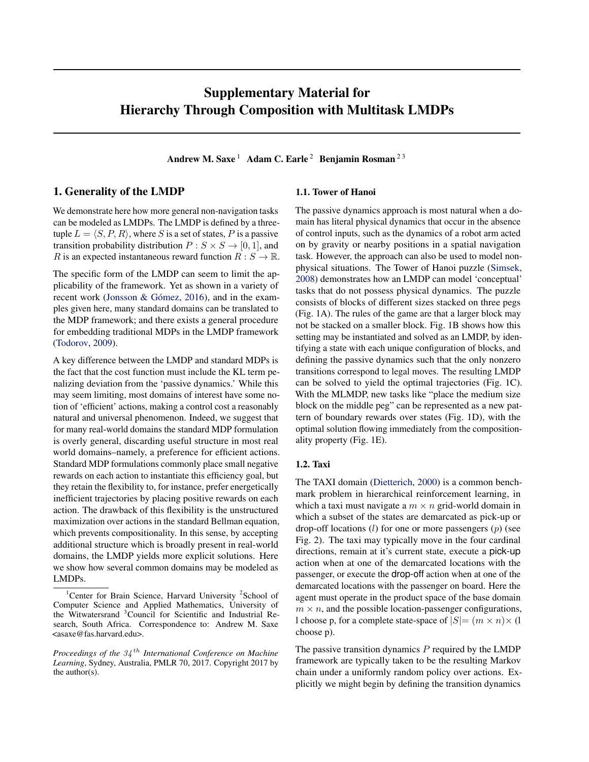# Supplementary Material for Hierarchy Through Composition with Multitask LMDPs

Andrew M. Saxe<sup>1</sup> Adam C. Earle<sup>2</sup> Benjamin Rosman<sup>23</sup>

## 1. Generality of the LMDP

We demonstrate here how more general non-navigation tasks can be modeled as LMDPs. The LMDP is defined by a threetuple  $L = \langle S, P, R \rangle$ , where S is a set of states, P is a passive transition probability distribution  $P : S \times S \rightarrow [0, 1]$ , and R is an expected instantaneous reward function  $R : S \to \mathbb{R}$ .

The specific form of the LMDP can seem to limit the applicability of the framework. Yet as shown in a variety of recent work [\(Jonsson & Gómez,](#page-3-0) [2016\)](#page-3-0), and in the examples given here, many standard domains can be translated to the MDP framework; and there exists a general procedure for embedding traditional MDPs in the LMDP framework [\(Todorov,](#page-3-0) [2009\)](#page-3-0).

A key difference between the LMDP and standard MDPs is the fact that the cost function must include the KL term penalizing deviation from the 'passive dynamics.' While this may seem limiting, most domains of interest have some notion of 'efficient' actions, making a control cost a reasonably natural and universal phenomenon. Indeed, we suggest that for many real-world domains the standard MDP formulation is overly general, discarding useful structure in most real world domains–namely, a preference for efficient actions. Standard MDP formulations commonly place small negative rewards on each action to instantiate this efficiency goal, but they retain the flexibility to, for instance, prefer energetically inefficient trajectories by placing positive rewards on each action. The drawback of this flexibility is the unstructured maximization over actions in the standard Bellman equation, which prevents compositionality. In this sense, by accepting additional structure which is broadly present in real-world domains, the LMDP yields more explicit solutions. Here we show how several common domains may be modeled as LMDPs.

#### 1.1. Tower of Hanoi

The passive dynamics approach is most natural when a domain has literal physical dynamics that occur in the absence of control inputs, such as the dynamics of a robot arm acted on by gravity or nearby positions in a spatial navigation task. However, the approach can also be used to model nonphysical situations. The Tower of Hanoi puzzle [\(Simsek,](#page-3-0) [2008\)](#page-3-0) demonstrates how an LMDP can model 'conceptual' tasks that do not possess physical dynamics. The puzzle consists of blocks of different sizes stacked on three pegs (Fig. 1A). The rules of the game are that a larger block may not be stacked on a smaller block. Fig. 1B shows how this setting may be instantiated and solved as an LMDP, by identifying a state with each unique configuration of blocks, and defining the passive dynamics such that the only nonzero transitions correspond to legal moves. The resulting LMDP can be solved to yield the optimal trajectories (Fig. 1C). With the MLMDP, new tasks like "place the medium size block on the middle peg" can be represented as a new pattern of boundary rewards over states (Fig. 1D), with the optimal solution flowing immediately from the compositionality property (Fig. 1E).

### 1.2. Taxi

The TAXI domain [\(Dietterich,](#page-3-0) [2000\)](#page-3-0) is a common benchmark problem in hierarchical reinforcement learning, in which a taxi must navigate a  $m \times n$  grid-world domain in which a subset of the states are demarcated as pick-up or drop-off locations (l) for one or more passengers (p) (see Fig. 2). The taxi may typically move in the four cardinal directions, remain at it's current state, execute a pick-up action when at one of the demarcated locations with the passenger, or execute the drop-off action when at one of the demarcated locations with the passenger on board. Here the agent must operate in the product space of the base domain  $m \times n$ , and the possible location-passenger configurations, l choose p, for a complete state-space of  $|S| = (m \times n) \times (1$ choose p).

The passive transition dynamics  $P$  required by the LMDP framework are typically taken to be the resulting Markov chain under a uniformly random policy over actions. Explicitly we might begin by defining the transition dynamics

<sup>&</sup>lt;sup>1</sup>Center for Brain Science, Harvard University <sup>2</sup>School of Computer Science and Applied Mathematics, University of the Witwatersrand <sup>3</sup>Council for Scientific and Industrial Research, South Africa. Correspondence to: Andrew M. Saxe <asaxe@fas.harvard.edu>.

*Proceedings of the* 34 th *International Conference on Machine Learning*, Sydney, Australia, PMLR 70, 2017. Copyright 2017 by the author(s).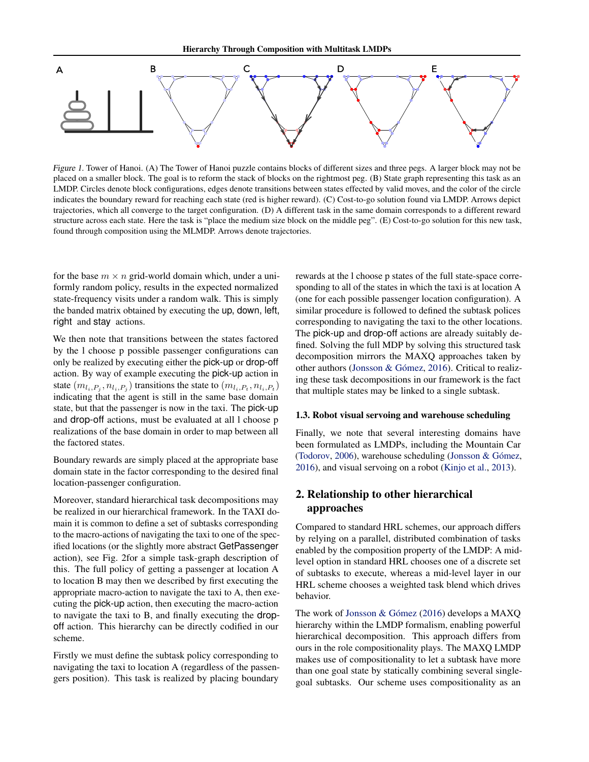

Figure 1. Tower of Hanoi. (A) The Tower of Hanoi puzzle contains blocks of different sizes and three pegs. A larger block may not be placed on a smaller block. The goal is to reform the stack of blocks on the rightmost peg. (B) State graph representing this task as an LMDP. Circles denote block configurations, edges denote transitions between states effected by valid moves, and the color of the circle indicates the boundary reward for reaching each state (red is higher reward). (C) Cost-to-go solution found via LMDP. Arrows depict trajectories, which all converge to the target configuration. (D) A different task in the same domain corresponds to a different reward structure across each state. Here the task is "place the medium size block on the middle peg". (E) Cost-to-go solution for this new task, found through composition using the MLMDP. Arrows denote trajectories.

for the base  $m \times n$  grid-world domain which, under a uniformly random policy, results in the expected normalized state-frequency visits under a random walk. This is simply the banded matrix obtained by executing the up, down, left, right and stay actions.

We then note that transitions between the states factored by the l choose p possible passenger configurations can only be realized by executing either the pick-up or drop-off action. By way of example executing the pick-up action in state  $(m_{l_i, P_j}, n_{l_i, P_j})$  transitions the state to  $(m_{l_i, P_t}, n_{l_i, P_t})$ indicating that the agent is still in the same base domain state, but that the passenger is now in the taxi. The pick-up and drop-off actions, must be evaluated at all l choose p realizations of the base domain in order to map between all the factored states.

Boundary rewards are simply placed at the appropriate base domain state in the factor corresponding to the desired final location-passenger configuration.

Moreover, standard hierarchical task decompositions may be realized in our hierarchical framework. In the TAXI domain it is common to define a set of subtasks corresponding to the macro-actions of navigating the taxi to one of the specified locations (or the slightly more abstract GetPassenger action), see Fig. 2for a simple task-graph description of this. The full policy of getting a passenger at location A to location B may then we described by first executing the appropriate macro-action to navigate the taxi to A, then executing the pick-up action, then executing the macro-action to navigate the taxi to B, and finally executing the dropoff action. This hierarchy can be directly codified in our scheme.

Firstly we must define the subtask policy corresponding to navigating the taxi to location A (regardless of the passengers position). This task is realized by placing boundary

rewards at the l choose p states of the full state-space corresponding to all of the states in which the taxi is at location A (one for each possible passenger location configuration). A similar procedure is followed to defined the subtask polices corresponding to navigating the taxi to the other locations. The pick-up and drop-off actions are already suitably defined. Solving the full MDP by solving this structured task decomposition mirrors the MAXQ approaches taken by other authors [\(Jonsson & Gómez,](#page-3-0) [2016\)](#page-3-0). Critical to realizing these task decompositions in our framework is the fact that multiple states may be linked to a single subtask.

#### 1.3. Robot visual servoing and warehouse scheduling

Finally, we note that several interesting domains have been formulated as LMDPs, including the Mountain Car [\(Todorov,](#page-3-0) [2006\)](#page-3-0), warehouse scheduling [\(Jonsson & Gómez,](#page-3-0) [2016\)](#page-3-0), and visual servoing on a robot [\(Kinjo et al.,](#page-3-0) [2013\)](#page-3-0).

### 2. Relationship to other hierarchical approaches

Compared to standard HRL schemes, our approach differs by relying on a parallel, distributed combination of tasks enabled by the composition property of the LMDP: A midlevel option in standard HRL chooses one of a discrete set of subtasks to execute, whereas a mid-level layer in our HRL scheme chooses a weighted task blend which drives behavior.

The work of [Jonsson & Gómez](#page-3-0) [\(2016\)](#page-3-0) develops a MAXQ hierarchy within the LMDP formalism, enabling powerful hierarchical decomposition. This approach differs from ours in the role compositionality plays. The MAXQ LMDP makes use of compositionality to let a subtask have more than one goal state by statically combining several singlegoal subtasks. Our scheme uses compositionality as an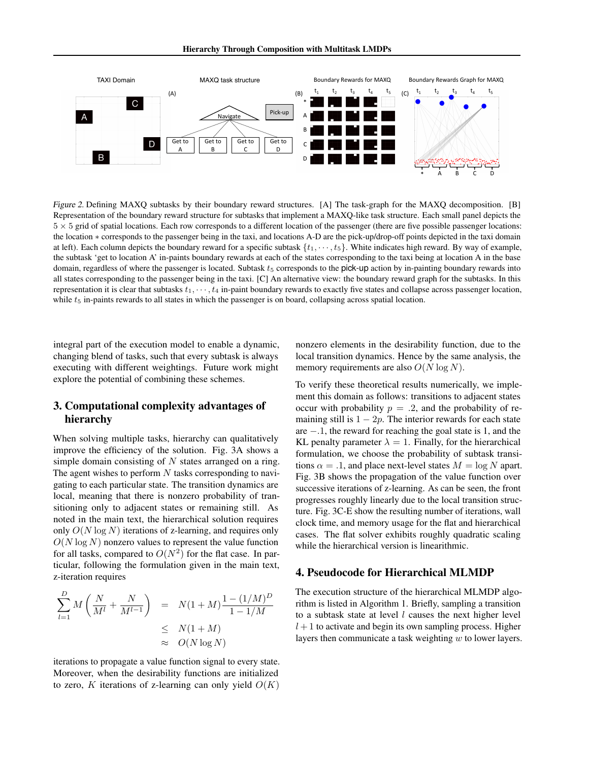Hierarchy Through Composition with Multitask LMDPs



Figure 2. Defining MAXQ subtasks by their boundary reward structures. [A] The task-graph for the MAXQ decomposition. [B] Representation of the boundary reward structure for subtasks that implement a MAXQ-like task structure. Each small panel depicts the  $5 \times 5$  grid of spatial locations. Each row corresponds to a different location of the passenger (there are five possible passenger locations: the location ∗ corresponds to the passenger being in the taxi, and locations A-D are the pick-up/drop-off points depicted in the taxi domain at left). Each column depicts the boundary reward for a specific subtask  $\{t_1, \dots, t_5\}$ . White indicates high reward. By way of example, the subtask 'get to location A' in-paints boundary rewards at each of the states corresponding to the taxi being at location A in the base domain, regardless of where the passenger is located. Subtask  $t<sub>5</sub>$  corresponds to the pick-up action by in-painting boundary rewards into all states corresponding to the passenger being in the taxi. [C] An alternative view: the boundary reward graph for the subtasks. In this representation it is clear that subtasks  $t_1, \dots, t_4$  in-paint boundary rewards to exactly five states and collapse across passenger location, while  $t<sub>5</sub>$  in-paints rewards to all states in which the passenger is on board, collapsing across spatial location.

integral part of the execution model to enable a dynamic, changing blend of tasks, such that every subtask is always executing with different weightings. Future work might explore the potential of combining these schemes.

### 3. Computational complexity advantages of hierarchy

When solving multiple tasks, hierarchy can qualitatively improve the efficiency of the solution. Fig. 3A shows a simple domain consisting of  $N$  states arranged on a ring. The agent wishes to perform  $N$  tasks corresponding to navigating to each particular state. The transition dynamics are local, meaning that there is nonzero probability of transitioning only to adjacent states or remaining still. As noted in the main text, the hierarchical solution requires only  $O(N \log N)$  iterations of z-learning, and requires only  $O(N \log N)$  nonzero values to represent the value function for all tasks, compared to  $O(N^2)$  for the flat case. In particular, following the formulation given in the main text, z-iteration requires

$$
\sum_{l=1}^{D} M\left(\frac{N}{M^l} + \frac{N}{M^{l-1}}\right) = N(1+M)\frac{1-(1/M)^D}{1-1/M}
$$
  

$$
\leq N(1+M)
$$
  

$$
\approx O(N \log N)
$$

iterations to propagate a value function signal to every state. Moreover, when the desirability functions are initialized to zero, K iterations of z-learning can only yield  $O(K)$  nonzero elements in the desirability function, due to the local transition dynamics. Hence by the same analysis, the memory requirements are also  $O(N \log N)$ .

To verify these theoretical results numerically, we implement this domain as follows: transitions to adjacent states occur with probability  $p = .2$ , and the probability of remaining still is  $1 - 2p$ . The interior rewards for each state are −.1, the reward for reaching the goal state is 1, and the KL penalty parameter  $\lambda = 1$ . Finally, for the hierarchical formulation, we choose the probability of subtask transitions  $\alpha = .1$ , and place next-level states  $M = \log N$  apart. Fig. 3B shows the propagation of the value function over successive iterations of z-learning. As can be seen, the front progresses roughly linearly due to the local transition structure. Fig. 3C-E show the resulting number of iterations, wall clock time, and memory usage for the flat and hierarchical cases. The flat solver exhibits roughly quadratic scaling while the hierarchical version is linearithmic.

### 4. Pseudocode for Hierarchical MLMDP

The execution structure of the hierarchical MLMDP algorithm is listed in Algorithm 1. Briefly, sampling a transition to a subtask state at level  $l$  causes the next higher level  $l+1$  to activate and begin its own sampling process. Higher layers then communicate a task weighting  $w$  to lower layers.